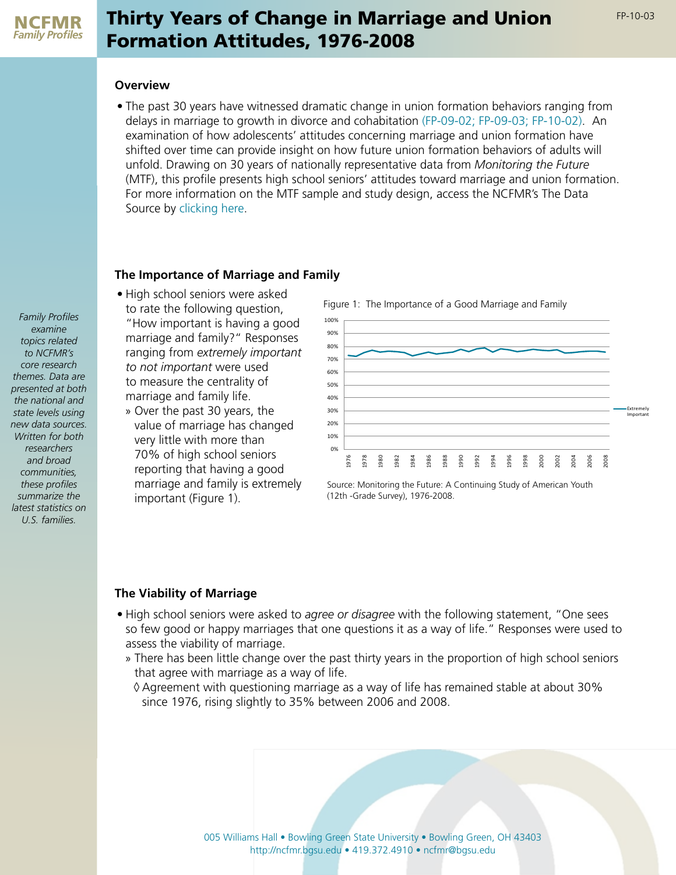# Thirty Years of Change in Marriage and Union Formation Attitudes, 1976-2008

## **Overview**

• The past 30 years have witnessed dramatic change in union formation behaviors ranging from delays in marriage to growth in divorce and cohabitation [\(FP-09-02;](http://ncfmr.bgsu.edu/pdf/family_profiles/file78753.pdf) [FP-09-03;](http://ncfmr.bgsu.edu/pdf/family_profiles/file100745.pdf) [FP-10-02](http://ncfmr.bgsu.edu/pdf/family_profiles/file84526.pdf)). An examination of how adolescents' attitudes concerning marriage and union formation have shifted over time can provide insight on how future union formation behaviors of adults will unfold. Drawing on 30 years of nationally representative data from *Monitoring the Future*  (MTF), this profile presents high school seniors' attitudes toward marriage and union formation. For more information on the MTF sample and study design, access the NCFMR's The Data Source by [clicking here](http://ncfmr.bgsu.edu/pdf/thedatasource/file78898.pdf).

### **The Importance of Marriage and Family**

- High school seniors were asked to rate the following question, "How important is having a good marriage and family?" Responses ranging from *extremely important to not important* were used to measure the centrality of marriage and family life.
	- » Over the past 30 years, the value of marriage has changed very little with more than 70% of high school seniors reporting that having a good marriage and family is extremely important (Figure 1).

Figure 1: The Importance of a Good Marriage and Family



Source: Monitoring the Future: A Continuing Study of American Youth (12th -Grade Survey), 1976-2008.

# **The Viability of Marriage**

- High school seniors were asked to *agree or disagree* with the following statement, "One sees so few good or happy marriages that one questions it as a way of life." Responses were used to assess the viability of marriage.
	- » There has been little change over the past thirty years in the proportion of high school seniors that agree with marriage as a way of life.
		- $\Diamond$  Agreement with questioning marriage as a way of life has remained stable at about 30% since 1976, rising slightly to 35% between 2006 and 2008.

005 Williams Hall • Bowling Green State University • Bowling Green, OH 43403 http://ncfmr.bgsu.edu • 419.372.4910 • ncfmr@bgsu.edu

*Family Profiles examine topics related to NCFMR's core research themes. Data are presented at both the national and state levels using new data sources. Written for both researchers and broad communities, these profiles summarize the latest statistics on U.S. families.*